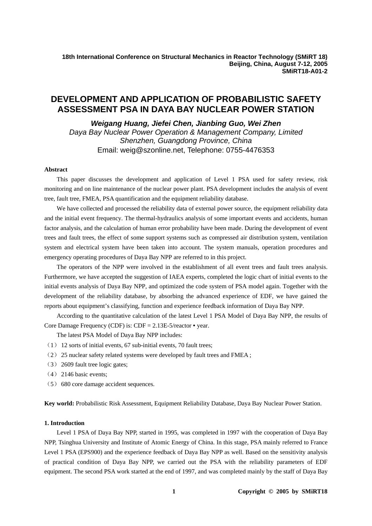**18th International Conference on Structural Mechanics in Reactor Technology (SMiRT 18) Beijing, China, August 7-12, 2005 SMiRT18-A01-2**

# **DEVELOPMENT AND APPLICATION OF PROBABILISTIC SAFETY ASSESSMENT PSA IN DAYA BAY NUCLEAR POWER STATION**

*Weigang Huang, Jiefei Chen, Jianbing Guo, Wei Zhen Daya Bay Nuclear Power Operation & Management Company, Limited Shenzhen, Guangdong Province, China*  Email: weig@szonline.net, Telephone: 0755-4476353

## **Abstract**

This paper discusses the development and application of Level 1 PSA used for safety review, risk monitoring and on line maintenance of the nuclear power plant. PSA development includes the analysis of event tree, fault tree, FMEA, PSA quantification and the equipment reliability database.

We have collected and processed the reliability data of external power source, the equipment reliability data and the initial event frequency. The thermal-hydraulics analysis of some important events and accidents, human factor analysis, and the calculation of human error probability have been made. During the development of event trees and fault trees, the effect of some support systems such as compressed air distribution system, ventilation system and electrical system have been taken into account. The system manuals, operation procedures and emergency operating procedures of Daya Bay NPP are referred to in this project.

The operators of the NPP were involved in the establishment of all event trees and fault trees analysis. Furthermore, we have accepted the suggestion of IAEA experts, completed the logic chart of initial events to the initial events analysis of Daya Bay NPP, and optimized the code system of PSA model again. Together with the development of the reliability database, by absorbing the advanced experience of EDF, we have gained the reports about equipment's classifying, function and experience feedback information of Daya Bay NPP.

According to the quantitative calculation of the latest Level 1 PSA Model of Daya Bay NPP, the results of Core Damage Frequency (CDF) is: CDF = 2.13E-5/reactor • year.

The latest PSA Model of Daya Bay NPP includes:

- (1) 12 sorts of initial events, 67 sub-initial events, 70 fault trees;
- (2) 25 nuclear safety related systems were developed by fault trees and FMEA ;
- (3) 2609 fault tree logic gates;
- (4) 2146 basic events;
- (5) 680 core damage accident sequences.

**Key world:** Probabilistic Risk Assessment, Equipment Reliability Database, Daya Bay Nuclear Power Station.

# **1. Introduction**

Level 1 PSA of Daya Bay NPP, started in 1995, was completed in 1997 with the cooperation of Daya Bay NPP, Tsinghua University and Institute of Atomic Energy of China. In this stage, PSA mainly referred to France Level 1 PSA (EPS900) and the experience feedback of Daya Bay NPP as well. Based on the sensitivity analysis of practical condition of Daya Bay NPP, we carried out the PSA with the reliability parameters of EDF equipment. The second PSA work started at the end of 1997, and was completed mainly by the staff of Daya Bay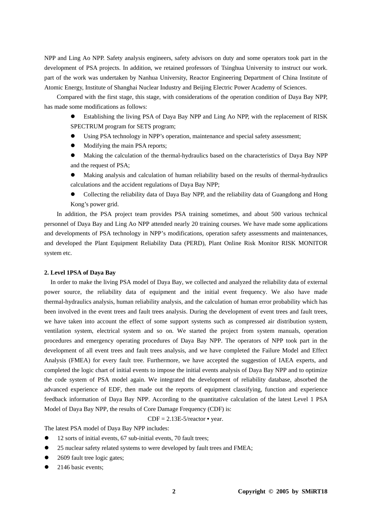NPP and Ling Ao NPP. Safety analysis engineers, safety advisors on duty and some operators took part in the development of PSA projects. In addition, we retained professors of Tsinghua University to instruct our work. part of the work was undertaken by Nanhua University, Reactor Engineering Department of China Institute of Atomic Energy, Institute of Shanghai Nuclear Industry and Beijing Electric Power Academy of Sciences.

Compared with the first stage, this stage, with considerations of the operation condition of Daya Bay NPP, has made some modifications as follows:

- Establishing the living PSA of Daya Bay NPP and Ling Ao NPP, with the replacement of RISK SPECTRUM program for SETS program;
- Using PSA technology in NPP's operation, maintenance and special safety assessment;
- Modifying the main PSA reports;
- Making the calculation of the thermal-hydraulics based on the characteristics of Daya Bay NPP and the request of PSA;
- Making analysis and calculation of human reliability based on the results of thermal-hydraulics calculations and the accident regulations of Daya Bay NPP;
- Collecting the reliability data of Daya Bay NPP, and the reliability data of Guangdong and Hong Kong's power grid.

In addition, the PSA project team provides PSA training sometimes, and about 500 various technical personnel of Daya Bay and Ling Ao NPP attended nearly 20 training courses. We have made some applications and developments of PSA technology in NPP's modifications, operation safety assessments and maintenances, and developed the Plant Equipment Reliability Data (PERD), Plant Online Risk Monitor RISK MONITOR system etc.

#### **2. Level 1PSA of Daya Bay**

In order to make the living PSA model of Daya Bay, we collected and analyzed the reliability data of external power source, the reliability data of equipment and the initial event frequency. We also have made thermal-hydraulics analysis, human reliability analysis, and the calculation of human error probability which has been involved in the event trees and fault trees analysis. During the development of event trees and fault trees, we have taken into account the effect of some support systems such as compressed air distribution system, ventilation system, electrical system and so on. We started the project from system manuals, operation procedures and emergency operating procedures of Daya Bay NPP. The operators of NPP took part in the development of all event trees and fault trees analysis, and we have completed the Failure Model and Effect Analysis (FMEA) for every fault tree. Furthermore, we have accepted the suggestion of IAEA experts, and completed the logic chart of initial events to impose the initial events analysis of Daya Bay NPP and to optimize the code system of PSA model again. We integrated the development of reliability database, absorbed the advanced experience of EDF, then made out the reports of equipment classifying, function and experience feedback information of Daya Bay NPP. According to the quantitative calculation of the latest Level 1 PSA Model of Daya Bay NPP, the results of Core Damage Frequency (CDF) is:

 $CDF = 2.13E-5/reactor \cdot year.$ 

The latest PSA model of Daya Bay NPP includes:

- 12 sorts of initial events, 67 sub-initial events, 70 fault trees;
- 25 nuclear safety related systems to were developed by fault trees and FMEA;
- 2609 fault tree logic gates;
- 2146 basic events: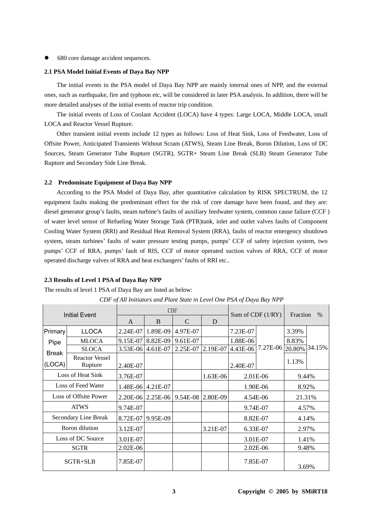680 core damage accident sequences.

#### **2.1 PSA Model Initial Events of Daya Bay NPP**

The initial events in the PSA model of Daya Bay NPP are mainly internal ones of NPP, and the external ones, such as earthquake, fire and typhoon etc, will be considered in later PSA analysis. In addition, there will be more detailed analyses of the initial events of reactor trip condition.

The initial events of Loss of Coolant Accident (LOCA) have 4 types: Large LOCA, Middle LOCA, small LOCA and Reactor Vessel Rupture.

Other transient initial events include 12 types as follows: Loss of Heat Sink, Loss of Feedwater, Loss of Offsite Power, Anticipated Transients Without Scram (ATWS), Steam Line Break, Boron Dilution, Loss of DC Sources, Steam Generator Tube Rupture (SGTR), SGTR+ Steam Line Break (SLB) Steam Generator Tube Rupture and Secondary Side Line Break.

### **2.2 Predominate Equipment of Daya Bay NPP**

According to the PSA Model of Daya Bay, after quantitative calculation by RISK SPECTRUM, the 12 equipment faults making the predominant effect for the risk of core damage have been found, and they are: diesel generator group's faults, steam turbine's faults of auxiliary feedwater system, common cause failure (CCF ) of water level sensor of Refueling Water Storage Tank (PTR)tank, inlet and outlet valves faults of Component Cooling Water System (RRI) and Residual Heat Removal System (RRA), faults of reactor emergency shutdown system, steam turbines' faults of water pressure testing pumps, pumps' CCF of safety injection system, two pumps' CCF of RRA, pumps' fault of RIS, CCF of motor operated suction valves of RRA, CCF of motor operated discharge valves of RRA and heat exchangers' faults of RRI etc..

#### **2.3 Results of Level 1 PSA of Daya Bay NPP**

The results of level 1 PSA of Daya Bay are listed as below:

| Initial Event         |                                  | <b>CDF</b>        |                     |                   |          | Sum of CDF $(1/RY)$   |                 | Fraction<br>$\%$ |        |
|-----------------------|----------------------------------|-------------------|---------------------|-------------------|----------|-----------------------|-----------------|------------------|--------|
|                       |                                  | $\mathsf{A}$      | B                   | $\mathcal{C}$     | D        |                       |                 |                  |        |
| Primary               | <b>LLOCA</b>                     | 2.24E-07          | 1.89E-09            | 4.97E-07          |          | 7.23E-07              |                 | 3.39%            |        |
| Pipe                  | <b>MLOCA</b>                     | 9.15E-07          | 8.82E-09            | 9.61E-07          |          | 1.88E-06              |                 | 8.83%            |        |
| <b>Break</b>          | <b>SLOCA</b>                     | 3.53E-06 4.61E-07 |                     | 2.25E-07          | 2.19E-07 | 4.43E-06              | 7.27E-06 20.80% |                  | 34.15% |
| (LOCA)                | <b>Reactor Vessel</b><br>Rupture | 2.40E-07          |                     |                   |          | 2.40E-07              |                 | 1.13%            |        |
| Loss of Heat Sink     |                                  | 3.76E-07          |                     |                   | 1.63E-06 | 2.01E-06              |                 | 9.44%            |        |
| Loss of Feed Water    |                                  |                   | 1.48E-06 4.21E-07   |                   |          | 1.90E-06              |                 | 8.92%            |        |
| Loss of Offsite Power |                                  |                   | $2.20E-06$ 2.25E-06 | 9.54E-08 2.80E-09 |          | 4.54E-06              |                 | 21.31%           |        |
| <b>ATWS</b>           |                                  | 9.74E-07          |                     |                   |          | 9.74E-07              |                 | 4.57%            |        |
| Secondary Line Break  |                                  |                   | 8.72E-07 9.95E-09   |                   |          | 8.82E-07              |                 | 4.14%            |        |
| Boron dilution        |                                  | 3.12E-07          |                     |                   | 3.21E-07 | 6.33E-07              |                 | 2.97%            |        |
| Loss of DC Source     |                                  | 3.01E-07          |                     |                   |          | 3.01E-07              |                 | 1.41%            |        |
| <b>SGTR</b>           |                                  | $2.02E-06$        |                     |                   |          | $2.02E - 06$<br>9.48% |                 |                  |        |
| SGTR+SLB              |                                  | 7.85E-07          |                     |                   |          |                       | 7.85E-07        | 3.69%            |        |

*CDF of All Initiators and Plant State in Level One PSA of Daya Bay NPP*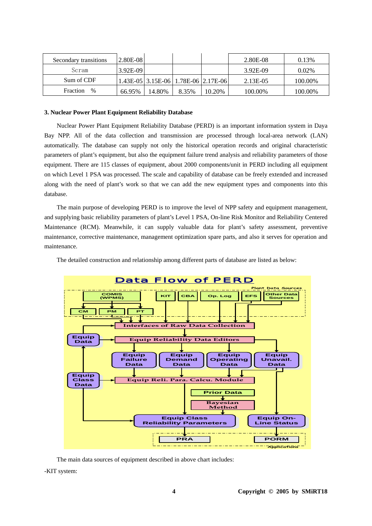| Secondary transitions | 2.80E-08   |        |                                     |        | 2.80E-08 | 0.13%   |
|-----------------------|------------|--------|-------------------------------------|--------|----------|---------|
| Seram                 | $3.92E-09$ |        |                                     |        | 3.92E-09 | 0.02%   |
| Sum of CDF            |            |        | 1.43E-05 3.15E-06 1.78E-06 2.17E-06 |        | 2.13E-05 | 100.00% |
| Fraction<br>$\%$      | 66.95%     | 14.80% | 8.35%                               | 10.20% | 100.00%  | 100.00% |

# **3. Nuclear Power Plant Equipment Reliability Database**

Nuclear Power Plant Equipment Reliability Database (PERD) is an important information system in Daya Bay NPP. All of the data collection and transmission are processed through local-area network (LAN) automatically. The database can supply not only the historical operation records and original characteristic parameters of plant's equipment, but also the equipment failure trend analysis and reliability parameters of those equipment. There are 115 classes of equipment, about 2000 components/unit in PERD including all equipment on which Level 1 PSA was processed. The scale and capability of database can be freely extended and increased along with the need of plant's work so that we can add the new equipment types and components into this database.

The main purpose of developing PERD is to improve the level of NPP safety and equipment management, and supplying basic reliability parameters of plant's Level 1 PSA, On-line Risk Monitor and Reliability Centered Maintenance (RCM). Meanwhile, it can supply valuable data for plant's safety assessment, preventive maintenance, corrective maintenance, management optimization spare parts, and also it serves for operation and maintenance.

The detailed construction and relationship among different parts of database are listed as below:



The main data sources of equipment described in above chart includes:

-KIT system: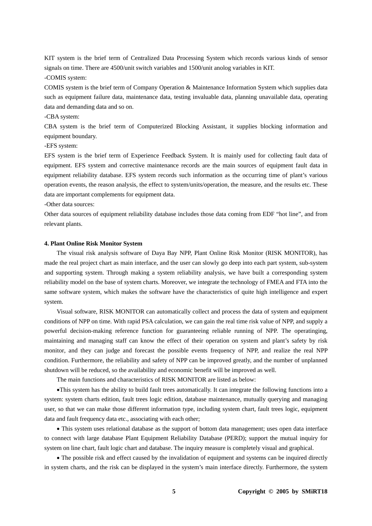KIT system is the brief term of Centralized Data Processing System which records various kinds of sensor signals on time. There are 4500/unit switch variables and 1500/unit anolog variables in KIT. -COMIS system:

COMIS system is the brief term of Company Operation & Maintenance Information System which supplies data such as equipment failure data, maintenance data, testing invaluable data, planning unavailable data, operating data and demanding data and so on.

-CBA system:

CBA system is the brief term of Computerized Blocking Assistant, it supplies blocking information and equipment boundary.

-EFS system:

EFS system is the brief term of Experience Feedback System. It is mainly used for collecting fault data of equipment. EFS system and corrective maintenance records are the main sources of equipment fault data in equipment reliability database. EFS system records such information as the occurring time of plant's various operation events, the reason analysis, the effect to system/units/operation, the measure, and the results etc. These data are important complements for equipment data.

-Other data sources:

Other data sources of equipment reliability database includes those data coming from EDF "hot line", and from relevant plants.

#### **4. Plant Online Risk Monitor System**

The visual risk analysis software of Daya Bay NPP, Plant Online Risk Monitor (RISK MONITOR), has made the real project chart as main interface, and the user can slowly go deep into each part system, sub-system and supporting system. Through making a system reliability analysis, we have built a corresponding system reliability model on the base of system charts. Moreover, we integrate the technology of FMEA and FTA into the same software system, which makes the software have the characteristics of quite high intelligence and expert system.

Visual software, RISK MONITOR can automatically collect and process the data of system and equipment conditions of NPP on time. With rapid PSA calculation, we can gain the real time risk value of NPP, and supply a powerful decision-making reference function for guaranteeing reliable running of NPP. The operatinging, maintaining and managing staff can know the effect of their operation on system and plant's safety by risk monitor, and they can judge and forecast the possible events frequency of NPP, and realize the real NPP condition. Furthermore, the reliability and safety of NPP can be improved greatly, and the number of unplanned shutdown will be reduced, so the availability and economic benefit will be improved as well.

The main functions and characteristics of RISK MONITOR are listed as below:

•This system has the ability to build fault trees automatically. It can integrate the following functions into a system: system charts edition, fault trees logic edition, database maintenance, mutually querying and managing user, so that we can make those different information type, including system chart, fault trees logic, equipment data and fault frequency data etc., associating with each other;

• This system uses relational database as the support of bottom data management; uses open data interface to connect with large database Plant Equipment Reliability Database (PERD); support the mutual inquiry for system on line chart, fault logic chart and database. The inquiry measure is completely visual and graphical.

• The possible risk and effect caused by the invalidation of equipment and systems can be inquired directly in system charts, and the risk can be displayed in the system's main interface directly. Furthermore, the system